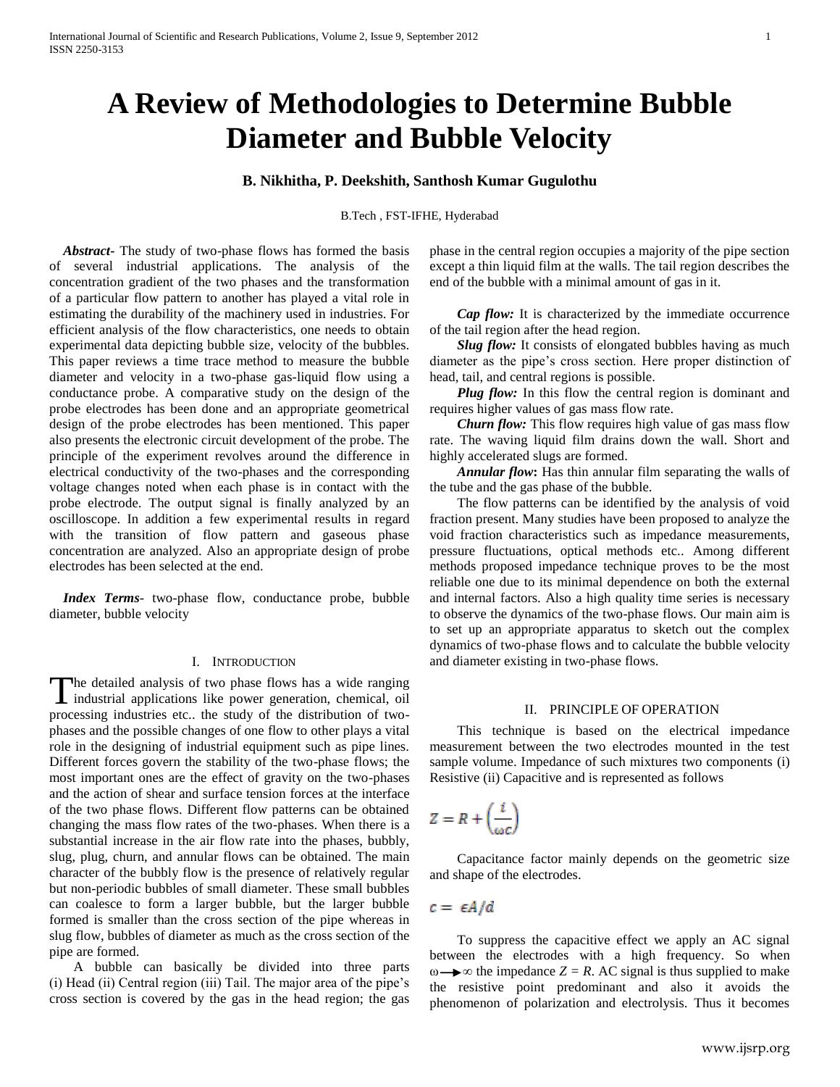# **A Review of Methodologies to Determine Bubble Diameter and Bubble Velocity**

## **B. Nikhitha, P. Deekshith, Santhosh Kumar Gugulothu**

B.Tech , FST-IFHE, Hyderabad

 *Abstract***-** The study of two-phase flows has formed the basis of several industrial applications. The analysis of the concentration gradient of the two phases and the transformation of a particular flow pattern to another has played a vital role in estimating the durability of the machinery used in industries. For efficient analysis of the flow characteristics, one needs to obtain experimental data depicting bubble size, velocity of the bubbles. This paper reviews a time trace method to measure the bubble diameter and velocity in a two-phase gas-liquid flow using a conductance probe. A comparative study on the design of the probe electrodes has been done and an appropriate geometrical design of the probe electrodes has been mentioned. This paper also presents the electronic circuit development of the probe. The principle of the experiment revolves around the difference in electrical conductivity of the two-phases and the corresponding voltage changes noted when each phase is in contact with the probe electrode. The output signal is finally analyzed by an oscilloscope. In addition a few experimental results in regard with the transition of flow pattern and gaseous phase concentration are analyzed. Also an appropriate design of probe electrodes has been selected at the end.

 *Index Terms*- two-phase flow, conductance probe, bubble diameter, bubble velocity

## I. INTRODUCTION

he detailed analysis of two phase flows has a wide ranging The detailed analysis of two phase flows has a wide ranging industrial applications like power generation, chemical, oil processing industries etc.. the study of the distribution of twophases and the possible changes of one flow to other plays a vital role in the designing of industrial equipment such as pipe lines. Different forces govern the stability of the two-phase flows; the most important ones are the effect of gravity on the two-phases and the action of shear and surface tension forces at the interface of the two phase flows. Different flow patterns can be obtained changing the mass flow rates of the two-phases. When there is a substantial increase in the air flow rate into the phases, bubbly, slug, plug, churn, and annular flows can be obtained. The main character of the bubbly flow is the presence of relatively regular but non-periodic bubbles of small diameter. These small bubbles can coalesce to form a larger bubble, but the larger bubble formed is smaller than the cross section of the pipe whereas in slug flow, bubbles of diameter as much as the cross section of the pipe are formed.

 A bubble can basically be divided into three parts (i) Head (ii) Central region (iii) Tail. The major area of the pipe"s cross section is covered by the gas in the head region; the gas

phase in the central region occupies a majority of the pipe section except a thin liquid film at the walls. The tail region describes the end of the bubble with a minimal amount of gas in it.

*Cap flow:* It is characterized by the immediate occurrence of the tail region after the head region.

*Slug flow:* It consists of elongated bubbles having as much diameter as the pipe"s cross section. Here proper distinction of head, tail, and central regions is possible.

*Plug flow:* In this flow the central region is dominant and requires higher values of gas mass flow rate.

*Churn flow:* This flow requires high value of gas mass flow rate. The waving liquid film drains down the wall. Short and highly accelerated slugs are formed.

 *Annular flow***:** Has thin annular film separating the walls of the tube and the gas phase of the bubble.

The flow patterns can be identified by the analysis of void fraction present. Many studies have been proposed to analyze the void fraction characteristics such as impedance measurements, pressure fluctuations, optical methods etc.. Among different methods proposed impedance technique proves to be the most reliable one due to its minimal dependence on both the external and internal factors. Also a high quality time series is necessary to observe the dynamics of the two-phase flows. Our main aim is to set up an appropriate apparatus to sketch out the complex dynamics of two-phase flows and to calculate the bubble velocity and diameter existing in two-phase flows.

## II. PRINCIPLE OF OPERATION

This technique is based on the electrical impedance measurement between the two electrodes mounted in the test sample volume. Impedance of such mixtures two components (i) Resistive (ii) Capacitive and is represented as follows

 $Z = R + \left(\frac{i}{\omega c}\right)$ 

Capacitance factor mainly depends on the geometric size and shape of the electrodes.

 $c = \epsilon A/d$ 

To suppress the capacitive effect we apply an AC signal between the electrodes with a high frequency. So when  $\omega \rightarrow \infty$  the impedance *Z* = *R*. AC signal is thus supplied to make the resistive point predominant and also it avoids the phenomenon of polarization and electrolysis. Thus it becomes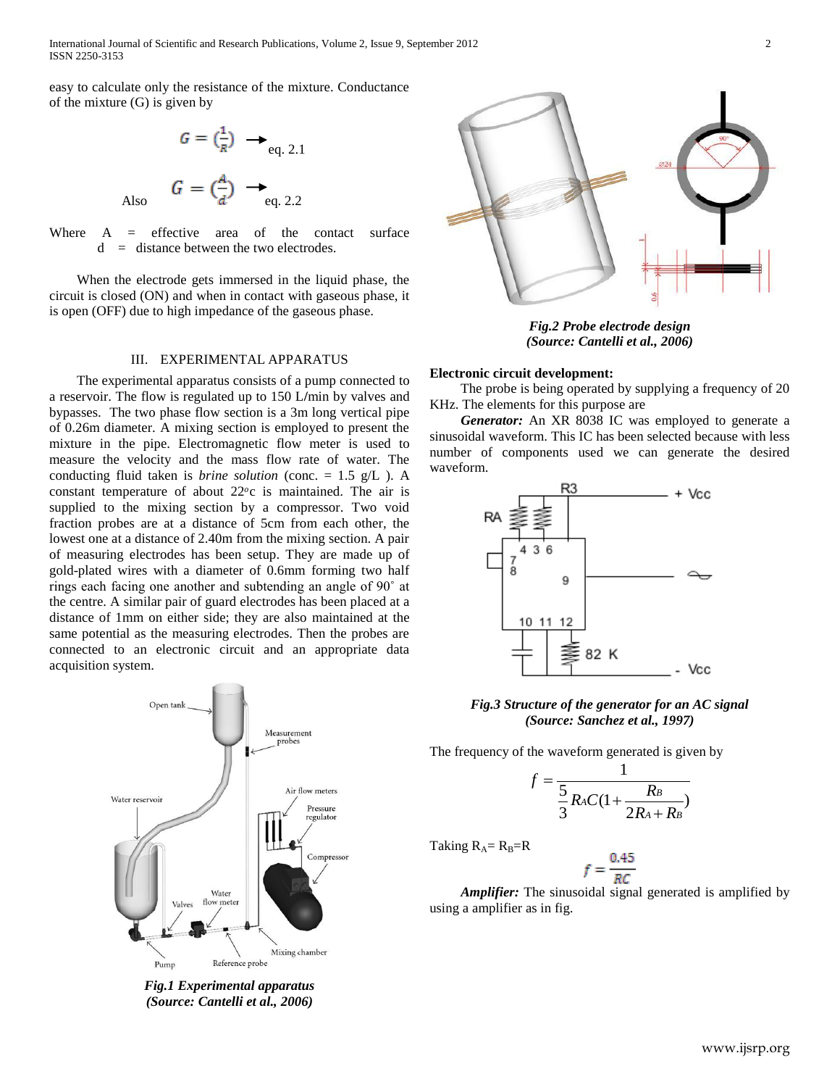International Journal of Scientific and Research Publications, Volume 2, Issue 9, September 2012 2 ISSN 2250-3153

easy to calculate only the resistance of the mixture. Conductance of the mixture (G) is given by

$$
G = \left(\frac{1}{R}\right) \longrightarrow_{\text{eq. 2.1}}
$$
  
Also 
$$
G = \left(\frac{A}{d}\right) \longrightarrow_{\text{eq. 2.2}}
$$

Where  $A =$  effective area of the contact surface  $d =$  distance between the two electrodes.

When the electrode gets immersed in the liquid phase, the circuit is closed (ON) and when in contact with gaseous phase, it is open (OFF) due to high impedance of the gaseous phase.

#### III. EXPERIMENTAL APPARATUS

The experimental apparatus consists of a pump connected to a reservoir. The flow is regulated up to 150 L**/**min by valves and bypasses. The two phase flow section is a 3m long vertical pipe of 0.26m diameter. A mixing section is employed to present the mixture in the pipe. Electromagnetic flow meter is used to measure the velocity and the mass flow rate of water. The conducting fluid taken is *brine solution* (conc. = 1.5 g/L ). A constant temperature of about  $22^{\circ}$ c is maintained. The air is supplied to the mixing section by a compressor. Two void fraction probes are at a distance of 5cm from each other, the lowest one at a distance of 2.40m from the mixing section. A pair of measuring electrodes has been setup. They are made up of gold-plated wires with a diameter of 0.6mm forming two half rings each facing one another and subtending an angle of 90˚ at the centre. A similar pair of guard electrodes has been placed at a distance of 1mm on either side; they are also maintained at the same potential as the measuring electrodes. Then the probes are connected to an electronic circuit and an appropriate data acquisition system.



*Fig.1 Experimental apparatus (Source: Cantelli et al., 2006)*



*Fig.2 Probe electrode design (Source: Cantelli et al., 2006)*

## **Electronic circuit development:**

The probe is being operated by supplying a frequency of 20 KHz. The elements for this purpose are

*Generator:* An XR 8038 IC was employed to generate a sinusoidal waveform. This IC has been selected because with less number of components used we can generate the desired waveform.



*Fig.3 Structure of the generator for an AC signal (Source: Sanchez et al., 1997)*

The frequency of the waveform generated is given by

$$
f = \frac{1}{\frac{5}{3}R_AC(1+\frac{R_B}{2R_A+R_B})}
$$

Taking  $R_A = R_B = R$ 

$$
f = \frac{0.45}{RC}
$$

*Amplifier:* The sinusoidal signal generated is amplified by using a amplifier as in fig.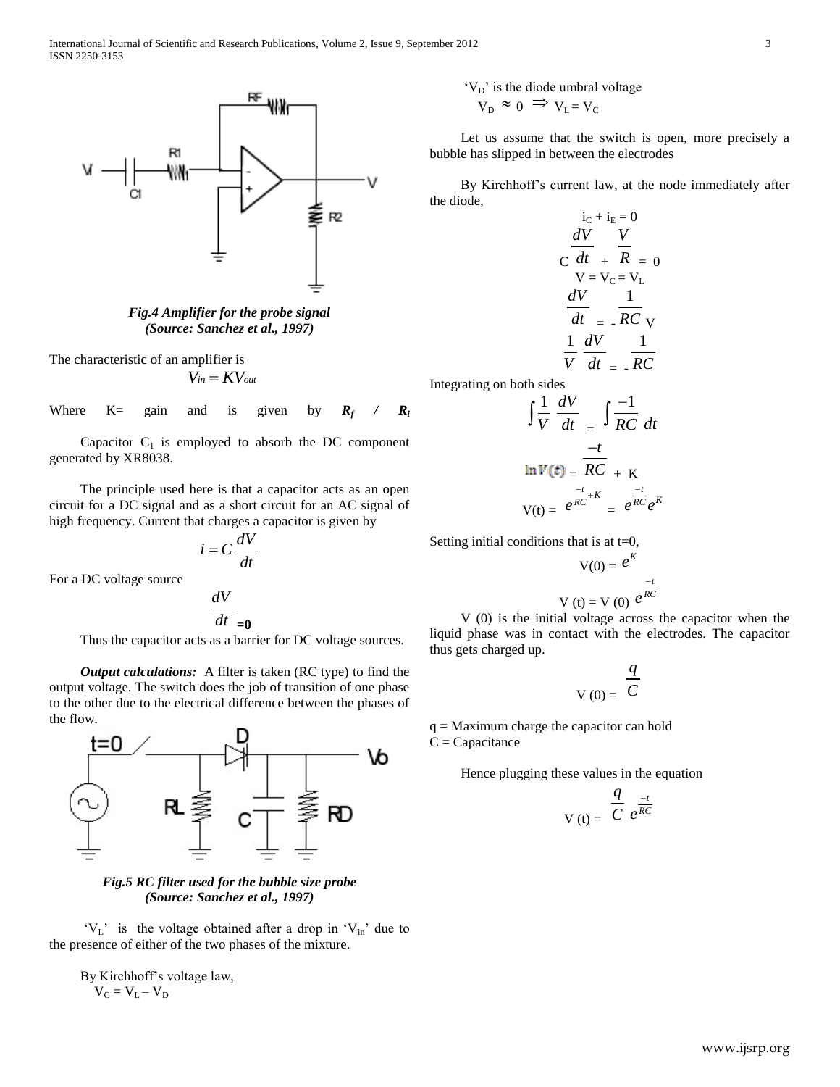

*Fig.4 Amplifier for the probe signal (Source: Sanchez et al., 1997)*

The characteristic of an amplifier is

 $V_{in} = KV_{out}$ 

Where  $K=$  gain and is given by  $R_f$ */ R<sup>i</sup>*

Capacitor  $C_1$  is employed to absorb the DC component generated by XR8038.

The principle used here is that a capacitor acts as an open circuit for a DC signal and as a short circuit for an AC signal of high frequency. Current that charges a capacitor is given by

$$
i = C \frac{dV}{dt}
$$

For a DC voltage source

$$
\frac{dV}{dt}_{\text{=0}}
$$

Thus the capacitor acts as a barrier for DC voltage sources.

*Output calculations:* A filter is taken (RC type) to find the output voltage. The switch does the job of transition of one phase to the other due to the electrical difference between the phases of the flow.



*Fig.5 RC filter used for the bubble size probe (Source: Sanchez et al., 1997)*

 $V_L$ " is the voltage obtained after a drop in  $V_{in}$ " due to the presence of either of the two phases of the mixture.

By Kirchhoff"s voltage law,  $V_C = V_L - V_D$ 

$$
V_D
$$
' is the diode umbral voltage  
 $V_D \approx 0 \implies V_L = V_C$ 

Let us assume that the switch is open, more precisely a bubble has slipped in between the electrodes

By Kirchhoff"s current law, at the node immediately after the diode,

$$
i_{C} + i_{E} = 0
$$
  
\n
$$
C \frac{dV}{dt} + \frac{V}{R} = 0
$$
  
\n
$$
V = V_{C} = V_{L}
$$
  
\n
$$
\frac{dV}{dt} = -\frac{1}{RC}
$$
  
\n
$$
\frac{1}{V} \frac{dV}{dt} = -\frac{1}{RC}
$$

Integrating on both sides

$$
\int \frac{1}{V} \frac{dV}{dt} = \int \frac{-1}{RC} dt
$$
  

$$
\ln V(t) = \frac{-t}{RC} + K
$$
  

$$
V(t) = e^{\frac{-t}{RC} + K} = e^{\frac{-t}{RC}} e^{K}
$$

Setting initial conditions that is at  $t=0$ ,

$$
V(0) = e^{K}
$$
  

$$
V(t) = V(0) e^{\frac{-t}{RC}}
$$

V (0) is the initial voltage across the capacitor when the liquid phase was in contact with the electrodes. The capacitor thus gets charged up.

$$
V(0) = \frac{q}{C}
$$

q = Maximum charge the capacitor can hold  $C = Capacitance$ 

Hence plugging these values in the equation

$$
V(t) = \frac{q}{C} e^{\frac{-t}{RC}}
$$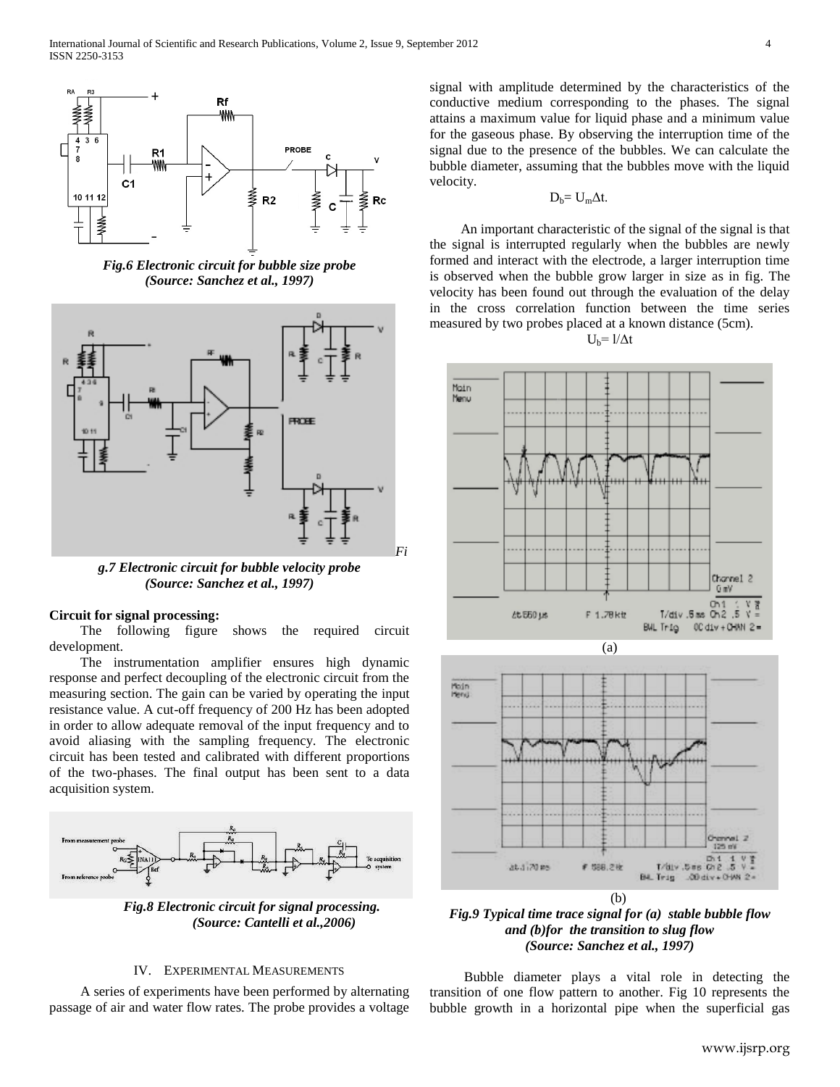

*Fig.6 Electronic circuit for bubble size probe (Source: Sanchez et al., 1997)*



*g.7 Electronic circuit for bubble velocity probe (Source: Sanchez et al., 1997)*

#### **Circuit for signal processing:**

The following figure shows the required circuit development.

The instrumentation amplifier ensures high dynamic response and perfect decoupling of the electronic circuit from the measuring section. The gain can be varied by operating the input resistance value. A cut-off frequency of 200 Hz has been adopted in order to allow adequate removal of the input frequency and to avoid aliasing with the sampling frequency. The electronic circuit has been tested and calibrated with different proportions of the two-phases. The final output has been sent to a data acquisition system.



 *Fig.8 Electronic circuit for signal processing. (Source: Cantelli et al.,2006)*

#### IV. EXPERIMENTAL MEASUREMENTS

 A series of experiments have been performed by alternating passage of air and water flow rates. The probe provides a voltage signal with amplitude determined by the characteristics of the conductive medium corresponding to the phases. The signal attains a maximum value for liquid phase and a minimum value for the gaseous phase. By observing the interruption time of the signal due to the presence of the bubbles. We can calculate the bubble diameter, assuming that the bubbles move with the liquid velocity.

$$
D_b = U_m \Delta t.
$$

 An important characteristic of the signal of the signal is that the signal is interrupted regularly when the bubbles are newly formed and interact with the electrode, a larger interruption time is observed when the bubble grow larger in size as in fig. The velocity has been found out through the evaluation of the delay in the cross correlation function between the time series measured by two probes placed at a known distance (5cm).







*Fig.9 Typical time trace signal for (a) stable bubble flow and (b)for the transition to slug flow (Source: Sanchez et al., 1997)*

 Bubble diameter plays a vital role in detecting the transition of one flow pattern to another. Fig 10 represents the bubble growth in a horizontal pipe when the superficial gas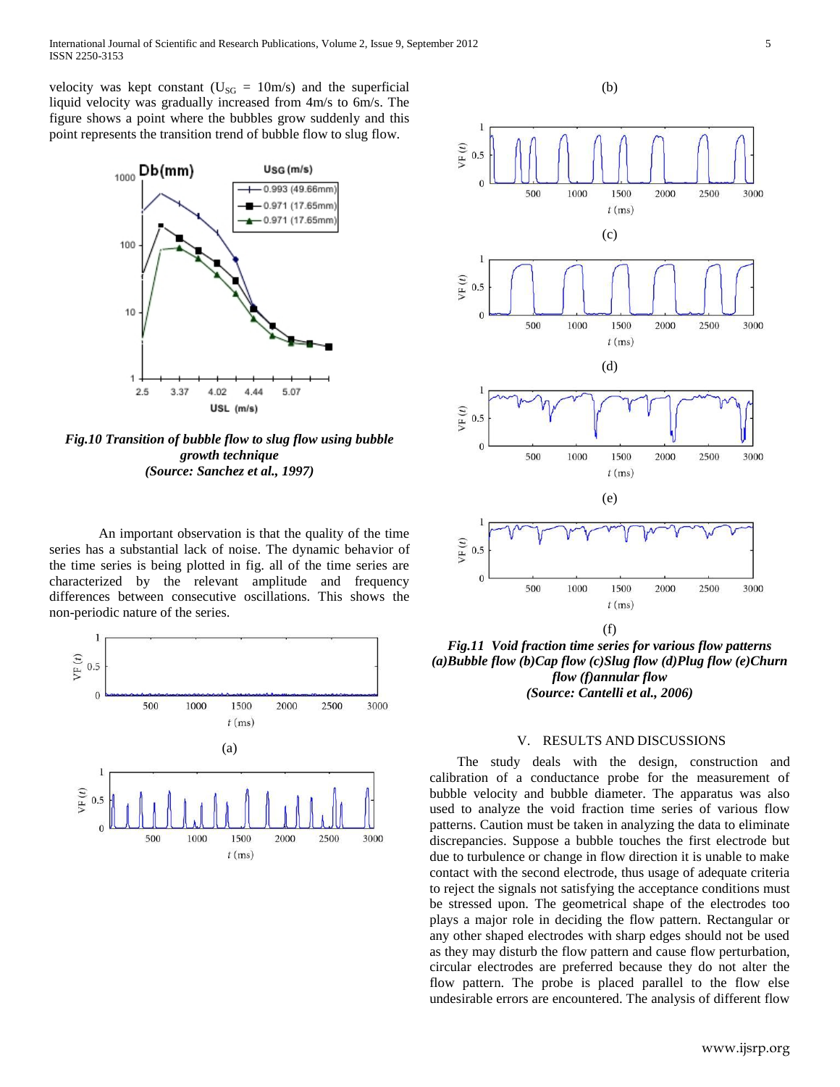velocity was kept constant ( $U_{SG} = 10m/s$ ) and the superficial liquid velocity was gradually increased from 4m/s to 6m/s. The figure shows a point where the bubbles grow suddenly and this point represents the transition trend of bubble flow to slug flow.



*Fig.10 Transition of bubble flow to slug flow using bubble growth technique (Source: Sanchez et al., 1997)*

An important observation is that the quality of the time series has a substantial lack of noise. The dynamic behavior of the time series is being plotted in fig. all of the time series are characterized by the relevant amplitude and frequency differences between consecutive oscillations. This shows the non-periodic nature of the series.





*Fig.11 Void fraction time series for various flow patterns (a)Bubble flow (b)Cap flow (c)Slug flow (d)Plug flow (e)Churn flow (f)annular flow (Source: Cantelli et al., 2006)*

## V. RESULTS AND DISCUSSIONS

 The study deals with the design, construction and calibration of a conductance probe for the measurement of bubble velocity and bubble diameter. The apparatus was also used to analyze the void fraction time series of various flow patterns. Caution must be taken in analyzing the data to eliminate discrepancies. Suppose a bubble touches the first electrode but due to turbulence or change in flow direction it is unable to make contact with the second electrode, thus usage of adequate criteria to reject the signals not satisfying the acceptance conditions must be stressed upon. The geometrical shape of the electrodes too plays a major role in deciding the flow pattern. Rectangular or any other shaped electrodes with sharp edges should not be used as they may disturb the flow pattern and cause flow perturbation, circular electrodes are preferred because they do not alter the flow pattern. The probe is placed parallel to the flow else undesirable errors are encountered. The analysis of different flow